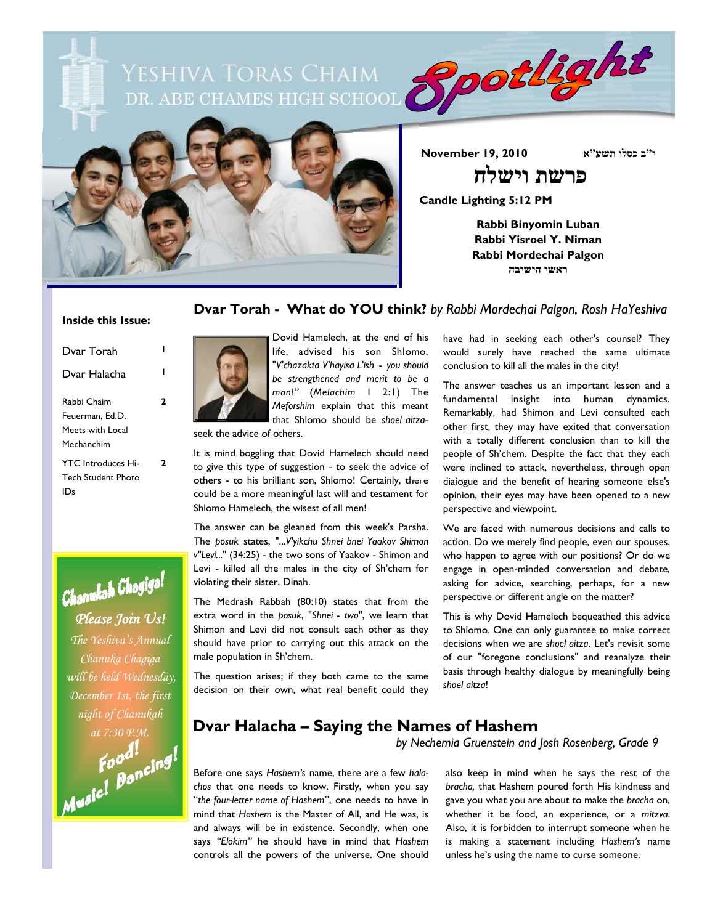DR. ABE CHAMES HIGH SCHOOL 3008/2012 Yeshiva Toras Chaim



**י"ב כסלו תשע"א 2010 19, November**

**Candle Lighting 5:12 PM**

**Rabbi Binyomin Luban Rabbi Yisroel Y. Niman Rabbi Mordechai Palgon ראשי הישיבה**

 **פרשת וישלח**

#### **Dvar Torah - What do YOU think?** *by Rabbi Mordechai Palgon, Rosh HaYeshiva*

#### **Inside this Issue:**

| Dvar Torah                                                       |   |
|------------------------------------------------------------------|---|
| Dvar Halacha                                                     |   |
| Rahhi Chaim<br>Feuerman, Ed.D.<br>Meets with Local<br>Mechanchim | 2 |
| <b>YTC</b> Introduces Hi-<br><b>Tech Student Photo</b><br>IJς    | 7 |



*Chanuka Chagiga will be held Wednesday, December 1st, the first* 

might of Chanukah<br>at 7:30 P.M.<br>**Faad 1**<br>**Music!** Doncing!



Dovid Hamelech, at the end of his life, advised his son Shlomo, "*V'chazakta V'hayisa L'ish* - *you should be strengthened and merit to be a man!"* (*Melachim* 1 2:1) The *Meforshim* explain that this meant that Shlomo should be *shoel aitza*-

seek the advice of others.

It is mind boggling that Dovid Hamelech should need to give this type of suggestion - to seek the advice of others - to his brilliant son, Shlomo! Certainly, there could be a more meaningful last will and testament for Shlomo Hamelech, the wisest of all men!

The answer can be gleaned from this week's Parsha. The *posuk* states, "...*V'yikchu Shnei bnei Yaakov Shimon v"Levi.*.." (34:25) - the two sons of Yaakov - Shimon and Levi - killed all the males in the city of Sh'chem for violating their sister, Dinah.

The Medrash Rabbah (80:10) states that from the extra word in the *posuk*, "*Shnei* - *two*", we learn that Shimon and Levi did not consult each other as they should have prior to carrying out this attack on the male population in Sh'chem.

The question arises; if they both came to the same decision on their own, what real benefit could they have had in seeking each other's counsel? They would surely have reached the same ultimate conclusion to kill all the males in the city!

The answer teaches us an important lesson and a fundamental insight into human dynamics. Remarkably, had Shimon and Levi consulted each other first, they may have exited that conversation with a totally different conclusion than to kill the people of Sh'chem. Despite the fact that they each were inclined to attack, nevertheless, through open dialogue and the benefit of hearing someone else's opinion, their eyes may have been opened to a new perspective and viewpoint.

We are faced with numerous decisions and calls to action. Do we merely find people, even our spouses, who happen to agree with our positions? Or do we engage in open-minded conversation and debate, asking for advice, searching, perhaps, for a new perspective or different angle on the matter?

This is why Dovid Hamelech bequeathed this advice to Shlomo. One can only guarantee to make correct decisions when we are *shoel aitza*. Let's revisit some of our "foregone conclusions" and reanalyze their basis through healthy dialogue by meaningfully being *shoel aitza*!

### *at 7:30 P.M.* **Dvar Halacha – Saying the Names of Hashem**

*by Nechemia Gruenstein and Josh Rosenberg, Grade 9*

Before one says *Hashem's* name, there are a few *halachos* that one needs to know. Firstly, when you say "*the four-letter name of Hashem*", one needs to have in mind that *Hashem* is the Master of All, and He was, is and always will be in existence. Secondly, when one says *"Elokim"* he should have in mind that *Hashem* controls all the powers of the universe. One should also keep in mind when he says the rest of the *bracha,* that Hashem poured forth His kindness and gave you what you are about to make the *bracha* on, whether it be food, an experience, or a *mitzva*. Also, it is forbidden to interrupt someone when he is making a statement including *Hashem's* name unless he's using the name to curse someone.